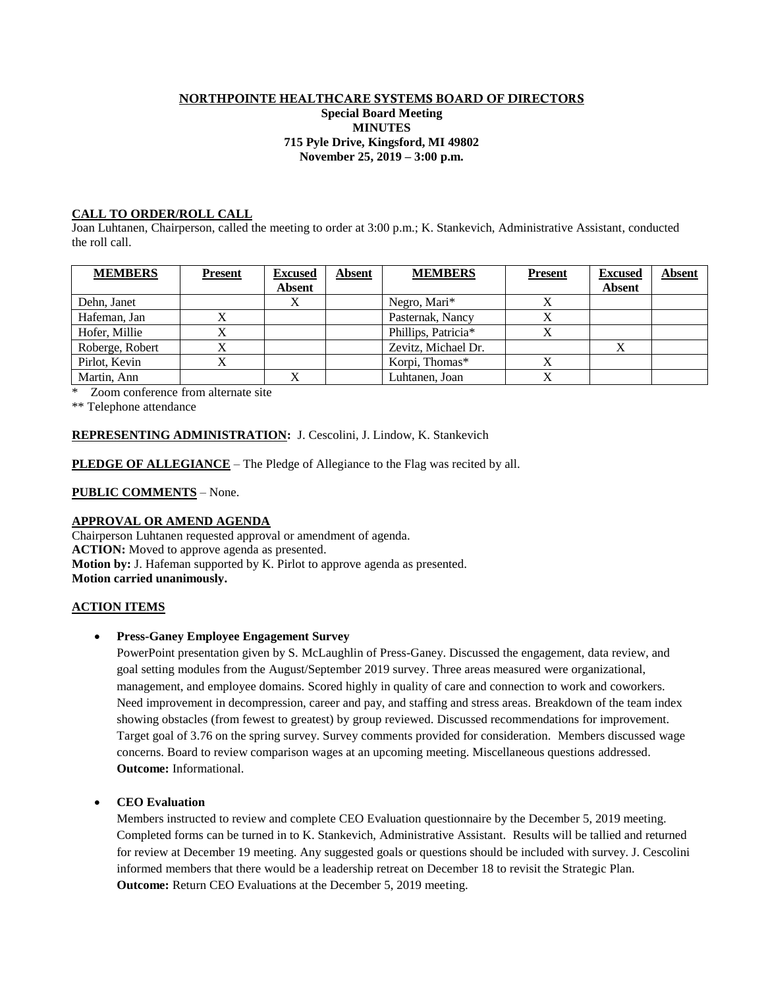### NORTHPOINTE HEALTHCARE SYSTEMS BOARD OF DIRECTORS

#### **Special Board Meeting MINUTES 715 Pyle Drive, Kingsford, MI 49802 November 25, 2019 – 3:00 p.m.**

## **CALL TO ORDER/ROLL CALL**

Joan Luhtanen, Chairperson, called the meeting to order at 3:00 p.m.; K. Stankevich, Administrative Assistant, conducted the roll call.

| <b>MEMBERS</b>  | <b>Present</b> | <b>Excused</b> | <b>Absent</b> | <b>MEMBERS</b>      | <b>Present</b> | <b>Excused</b> | <b>Absent</b> |
|-----------------|----------------|----------------|---------------|---------------------|----------------|----------------|---------------|
|                 |                | <b>Absent</b>  |               |                     |                | <b>Absent</b>  |               |
| Dehn, Janet     |                |                |               | Negro, Mari*        |                |                |               |
| Hafeman, Jan    | △              |                |               | Pasternak, Nancy    |                |                |               |
| Hofer, Millie   |                |                |               | Phillips, Patricia* |                |                |               |
| Roberge, Robert |                |                |               | Zevitz, Michael Dr. |                |                |               |
| Pirlot, Kevin   |                |                |               | Korpi, Thomas*      |                |                |               |
| Martin, Ann     |                |                |               | Luhtanen, Joan      |                |                |               |

\* Zoom conference from alternate site

\*\* Telephone attendance

### **REPRESENTING ADMINISTRATION:** J. Cescolini, J. Lindow, K. Stankevich

**PLEDGE OF ALLEGIANCE** – The Pledge of Allegiance to the Flag was recited by all.

**PUBLIC COMMENTS** – None.

# **APPROVAL OR AMEND AGENDA**

Chairperson Luhtanen requested approval or amendment of agenda. **ACTION:** Moved to approve agenda as presented. **Motion by:** J. Hafeman supported by K. Pirlot to approve agenda as presented. **Motion carried unanimously.**

### **ACTION ITEMS**

### • **Press-Ganey Employee Engagement Survey**

PowerPoint presentation given by S. McLaughlin of Press-Ganey. Discussed the engagement, data review, and goal setting modules from the August/September 2019 survey. Three areas measured were organizational, management, and employee domains. Scored highly in quality of care and connection to work and coworkers. Need improvement in decompression, career and pay, and staffing and stress areas. Breakdown of the team index showing obstacles (from fewest to greatest) by group reviewed. Discussed recommendations for improvement. Target goal of 3.76 on the spring survey. Survey comments provided for consideration. Members discussed wage concerns. Board to review comparison wages at an upcoming meeting. Miscellaneous questions addressed. **Outcome:** Informational.

## • **CEO Evaluation**

Members instructed to review and complete CEO Evaluation questionnaire by the December 5, 2019 meeting. Completed forms can be turned in to K. Stankevich, Administrative Assistant. Results will be tallied and returned for review at December 19 meeting. Any suggested goals or questions should be included with survey. J. Cescolini informed members that there would be a leadership retreat on December 18 to revisit the Strategic Plan. **Outcome:** Return CEO Evaluations at the December 5, 2019 meeting.